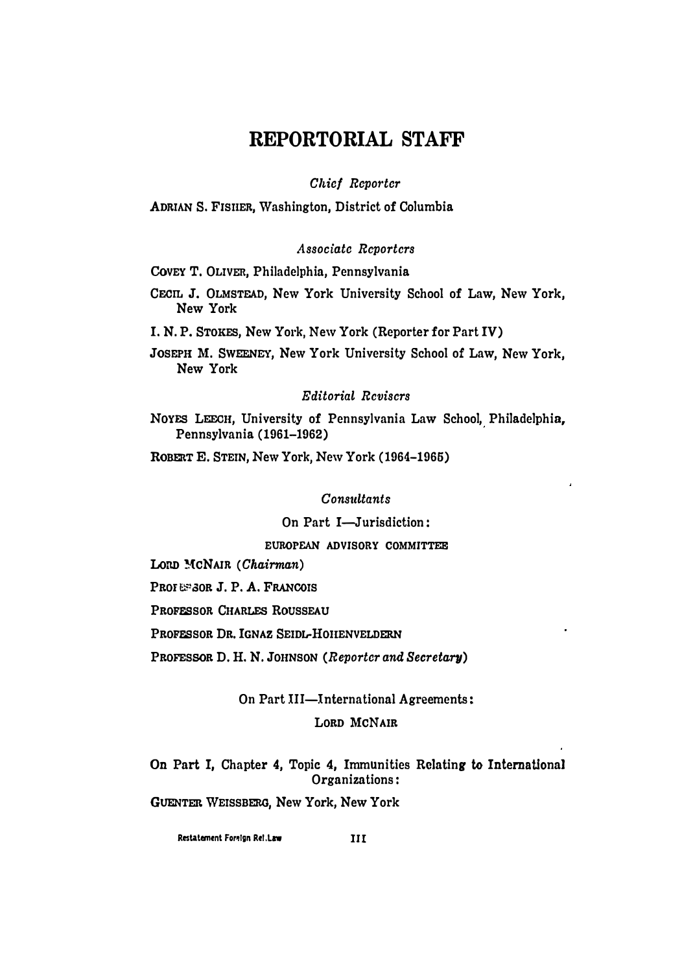## REPORTORIAL STAFF

Chief Reporter

ADRIAN S. FISHER, Washington, District of Columbia

#### Associate Reporters

COVEY T. OLIVER, Philadelphia, Pennsylvania

CECIL J. OLMSTEAD, New York University School of Law, New York, New York

I. N. P. STOKES, New York, New York (Reporter for Part IV)

JOSEPH M. SWEENEY, New York University School of Law, New York, New York

#### **Editorial Revisers**

NOYES LEECH, University of Pennsylvania Law School, Philadelphia, Pennsylvania (1961-1962)

ROBERT E. STEIN, New York, New York (1964-1965)

**Consultants** 

On Part I-Jurisdiction:

EUROPEAN ADVISORY COMMITTEE

LORD MCNAIR (Chairman)

PROFESSOR J. P. A. FRANCOIS

PROFESSOR CHARLES ROUSSEAU

PROFESSOR DR. IGNAZ SEIDL-HOHENVELDERN

PROFESSOR D. H. N. JOHNSON (Reporter and Secretary)

On Part III-International Agreements:

#### LORD MCNAIR

On Part I, Chapter 4, Topic 4, Immunities Relating to International Organizations:

GUENTER WEISSBERG, New York, New York

Restatement Foreign Rel.Law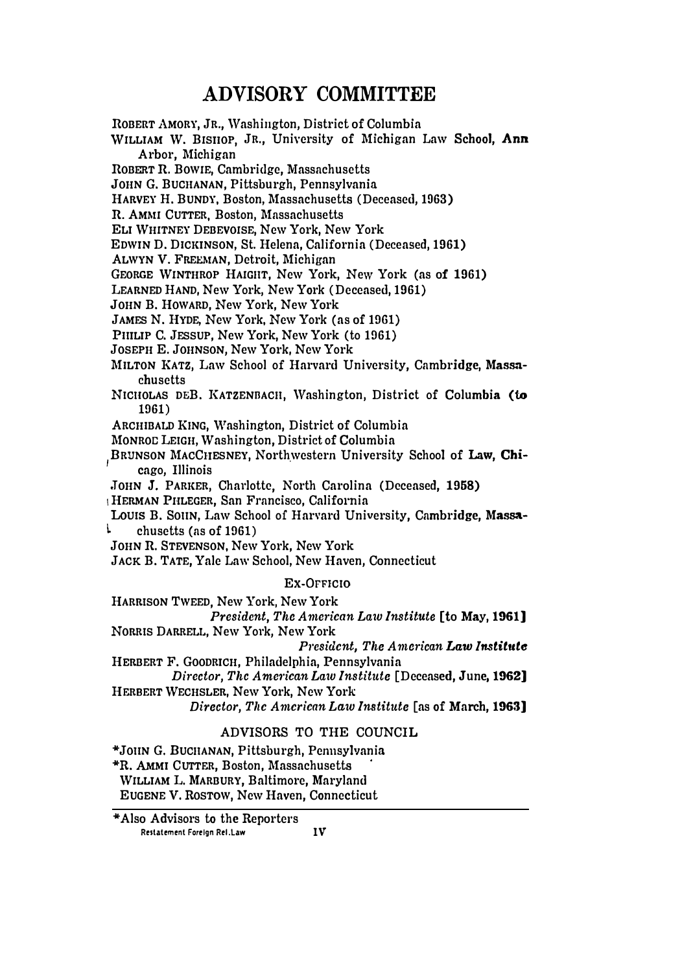### **ADVISORY COMMITTEE**

**ROBERT AMORY, JR., Washington, District of Columbia WILLIAM W. BISHOP, JR., University of Michigan Law School, Ann Arbor, Michigan ROBERT** n. **BOWIE, Cambridge, Massachusetts JOHN G. BUCI-IANAN, Pittsburgh, Pennsylvania HARVEY H. BUNDY, Boston, Massachusetts (Deceased, 1963)**  n. **AMMI CUTTER, Boston, Massachusetts ELI WHITNEY DEBEVOISE, New York, New York EDWIN D. DICKINSON, St. Helena, California (Deceased, 1961) ALWYN V. FREEMAN, Detroit, Michigan GEORGE WINTHROP HAIGHT, New York, New York (as of 1961) LEARNED HAND, New York, New York (Deceased, 1961) JOHN B. HOWARD, New York, New York JAMES N. HYDE, New York, New York (as of 1961) PIIILIP C. JESSUP, New York, New York (to 1961) JOSEPH E. JOHNSON, New York, New York MILTON KATZ, Law School of Harvard University, Cambridge, Massachusetts NICHOLAS DEB. KATZENBACH, Washington, District of Columbia (to 1961) ARCHIBALD KING, Washington, District of Columbia MONROC LEIGH, Washington, District of Columbia**  BRUNSON MACCHESNEY, Northwestern University School of Law, Chi-**1 cago, Illinois ,TOHN J. PARKER, Charlotte, North Carolina (Deceased, 1958)**  <sup>1</sup>**HERMAN PHLEGER, San Francisco, California LOUIS B. SOIIN, Law School of Harvard University, Cambridge, Massa-<br>
<b>A** chusetts (as of 1961) **L chusetts (as of 1961) JOHN Il. STEVENSON, New York, New York JACK B. TATE, Yale Law School, New Haven, Connecticut EX-OFFICIO HARRISON TWEED, New York, New York**  *President, The American Law Institute* **[to May, 1961) NORRIS DARRELL, New York, New York**  *President, The American Law* **Institute HERBERT F. GOODRICH, Philadelphia, Pennsylvania**  *Dfrector, The American Law Institute* **[Deceased, June, 1962) HERBERT WECHSLER, New York, New York**  *Director, The American Law Institute* [as of March, 1963]

#### **ADVISORS TO THE COUNCIL**

**\*JOUNG. BUCHANAN, Pittsburgh, Pennsylvania**

**\*R . .AMMI CUTTER, Boston, Massachusetts**

**WILLIAM L. MARBURY, Baltimore, Maryland**

**EUGENE V. ROSTOW, New Haven, Connecticut**

**\* Also Advisors to the Reporters Reslalemenl Foreign Rel.Law** IV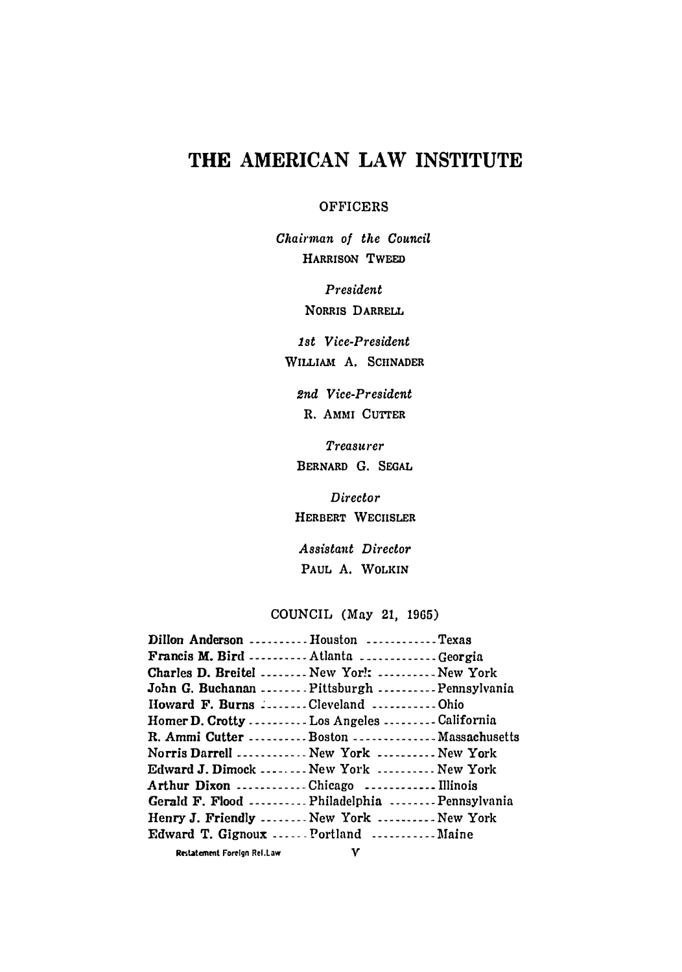# **THE AMERICAN LAW INSTITUTE**

#### **OFFICERS**

*Chairman of the Council* **HARRISON TWEED**

> *President*  **NORRIS DARRELL**

*1st Vice-President*  **WILLIAM** *A.* **SCHNADER** 

*2nd Vice-President*  **R. AMMI CUTTER**

*Treasurer* **BERNARD G. SEGAL** 

*Director*  **HERBERT WECHSLER** 

*Assistant Director*  PAUL A. WOLKIN

**COUNCIL (May 21, 1965)**

| Dillon Anderson  Houston Texas              |  |
|---------------------------------------------|--|
| Francis M. Bird  Atlanta  Georgia           |  |
| Charles D. Breitel  New Yor!:  New York     |  |
| John G. Buchanan Pittsburgh Pennsylvania    |  |
| Howard F. Burns Cleveland Ohio              |  |
| Homer D. Crotty  Los Angeles  California    |  |
|                                             |  |
| Norris Darrell  New York  New York          |  |
| Edward J. Dimock  New York  New York        |  |
| Arthur Dixon Chicago Illinois               |  |
| Gerald F. Flood  Philadelphia  Pennsylvania |  |
| Henry J. Friendly New York New York         |  |
| Edward T. Gignoux  Portland  Maine          |  |
|                                             |  |

**Restatement Foreign Rel.Law**  V